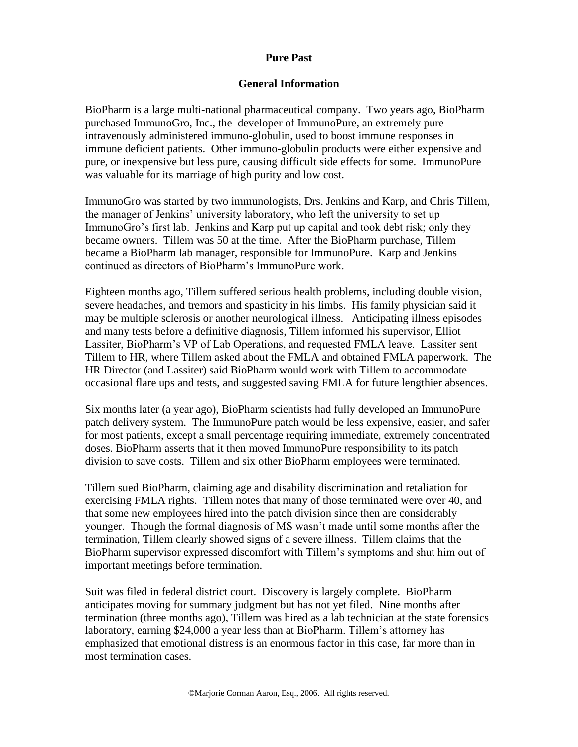# **General Information**

BioPharm is a large multi-national pharmaceutical company. Two years ago, BioPharm purchased ImmunoGro, Inc., the developer of ImmunoPure, an extremely pure intravenously administered immuno-globulin, used to boost immune responses in immune deficient patients. Other immuno-globulin products were either expensive and pure, or inexpensive but less pure, causing difficult side effects for some. ImmunoPure was valuable for its marriage of high purity and low cost.

ImmunoGro was started by two immunologists, Drs. Jenkins and Karp, and Chris Tillem, the manager of Jenkins' university laboratory, who left the university to set up ImmunoGro's first lab. Jenkins and Karp put up capital and took debt risk; only they became owners. Tillem was 50 at the time. After the BioPharm purchase, Tillem became a BioPharm lab manager, responsible for ImmunoPure. Karp and Jenkins continued as directors of BioPharm's ImmunoPure work.

Eighteen months ago, Tillem suffered serious health problems, including double vision, severe headaches, and tremors and spasticity in his limbs. His family physician said it may be multiple sclerosis or another neurological illness. Anticipating illness episodes and many tests before a definitive diagnosis, Tillem informed his supervisor, Elliot Lassiter, BioPharm's VP of Lab Operations, and requested FMLA leave. Lassiter sent Tillem to HR, where Tillem asked about the FMLA and obtained FMLA paperwork. The HR Director (and Lassiter) said BioPharm would work with Tillem to accommodate occasional flare ups and tests, and suggested saving FMLA for future lengthier absences.

Six months later (a year ago), BioPharm scientists had fully developed an ImmunoPure patch delivery system. The ImmunoPure patch would be less expensive, easier, and safer for most patients, except a small percentage requiring immediate, extremely concentrated doses. BioPharm asserts that it then moved ImmunoPure responsibility to its patch division to save costs. Tillem and six other BioPharm employees were terminated.

Tillem sued BioPharm, claiming age and disability discrimination and retaliation for exercising FMLA rights. Tillem notes that many of those terminated were over 40, and that some new employees hired into the patch division since then are considerably younger. Though the formal diagnosis of MS wasn't made until some months after the termination, Tillem clearly showed signs of a severe illness. Tillem claims that the BioPharm supervisor expressed discomfort with Tillem's symptoms and shut him out of important meetings before termination.

Suit was filed in federal district court. Discovery is largely complete. BioPharm anticipates moving for summary judgment but has not yet filed. Nine months after termination (three months ago), Tillem was hired as a lab technician at the state forensics laboratory, earning \$24,000 a year less than at BioPharm. Tillem's attorney has emphasized that emotional distress is an enormous factor in this case, far more than in most termination cases.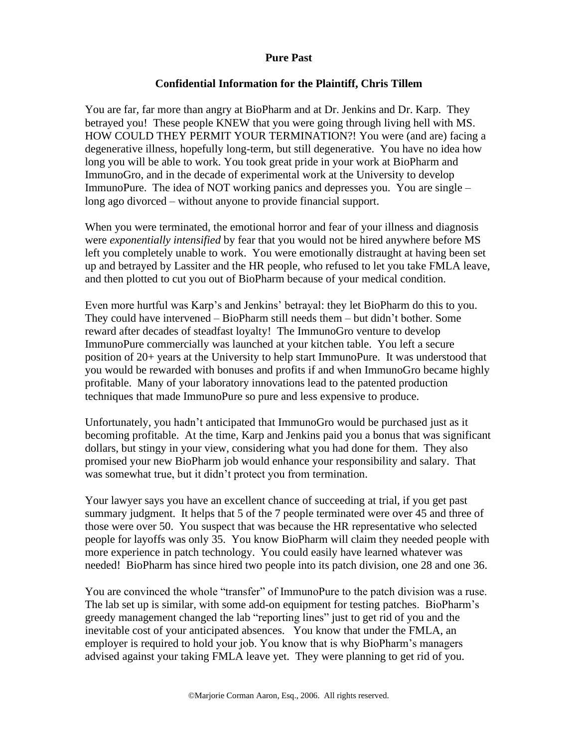# **Confidential Information for the Plaintiff, Chris Tillem**

You are far, far more than angry at BioPharm and at Dr. Jenkins and Dr. Karp. They betrayed you! These people KNEW that you were going through living hell with MS. HOW COULD THEY PERMIT YOUR TERMINATION?! You were (and are) facing a degenerative illness, hopefully long-term, but still degenerative. You have no idea how long you will be able to work. You took great pride in your work at BioPharm and ImmunoGro, and in the decade of experimental work at the University to develop ImmunoPure. The idea of NOT working panics and depresses you. You are single – long ago divorced – without anyone to provide financial support.

When you were terminated, the emotional horror and fear of your illness and diagnosis were *exponentially intensified* by fear that you would not be hired anywhere before MS left you completely unable to work. You were emotionally distraught at having been set up and betrayed by Lassiter and the HR people, who refused to let you take FMLA leave, and then plotted to cut you out of BioPharm because of your medical condition.

Even more hurtful was Karp's and Jenkins' betrayal: they let BioPharm do this to you. They could have intervened – BioPharm still needs them – but didn't bother. Some reward after decades of steadfast loyalty! The ImmunoGro venture to develop ImmunoPure commercially was launched at your kitchen table. You left a secure position of 20+ years at the University to help start ImmunoPure. It was understood that you would be rewarded with bonuses and profits if and when ImmunoGro became highly profitable. Many of your laboratory innovations lead to the patented production techniques that made ImmunoPure so pure and less expensive to produce.

Unfortunately, you hadn't anticipated that ImmunoGro would be purchased just as it becoming profitable. At the time, Karp and Jenkins paid you a bonus that was significant dollars, but stingy in your view, considering what you had done for them. They also promised your new BioPharm job would enhance your responsibility and salary. That was somewhat true, but it didn't protect you from termination.

Your lawyer says you have an excellent chance of succeeding at trial, if you get past summary judgment. It helps that 5 of the 7 people terminated were over 45 and three of those were over 50. You suspect that was because the HR representative who selected people for layoffs was only 35. You know BioPharm will claim they needed people with more experience in patch technology. You could easily have learned whatever was needed! BioPharm has since hired two people into its patch division, one 28 and one 36.

You are convinced the whole "transfer" of ImmunoPure to the patch division was a ruse. The lab set up is similar, with some add-on equipment for testing patches. BioPharm's greedy management changed the lab "reporting lines" just to get rid of you and the inevitable cost of your anticipated absences. You know that under the FMLA, an employer is required to hold your job. You know that is why BioPharm's managers advised against your taking FMLA leave yet. They were planning to get rid of you.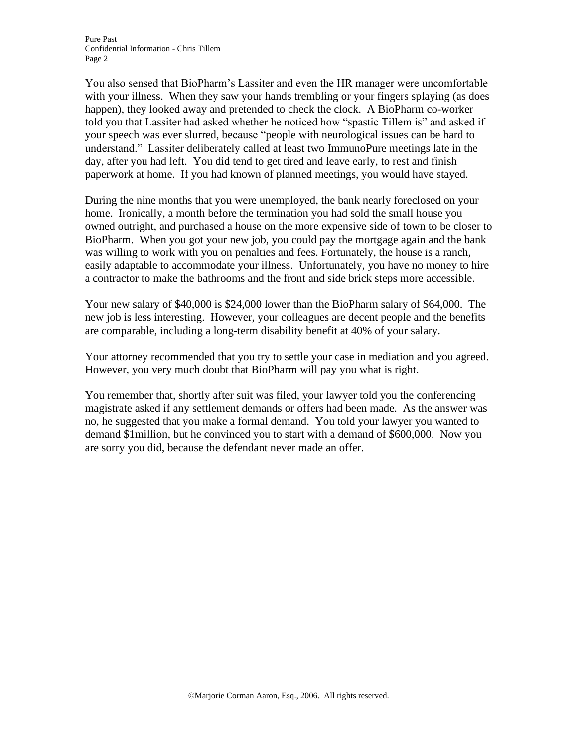You also sensed that BioPharm's Lassiter and even the HR manager were uncomfortable with your illness. When they saw your hands trembling or your fingers splaying (as does happen), they looked away and pretended to check the clock. A BioPharm co-worker told you that Lassiter had asked whether he noticed how "spastic Tillem is" and asked if your speech was ever slurred, because "people with neurological issues can be hard to understand." Lassiter deliberately called at least two ImmunoPure meetings late in the day, after you had left. You did tend to get tired and leave early, to rest and finish paperwork at home. If you had known of planned meetings, you would have stayed.

During the nine months that you were unemployed, the bank nearly foreclosed on your home. Ironically, a month before the termination you had sold the small house you owned outright, and purchased a house on the more expensive side of town to be closer to BioPharm. When you got your new job, you could pay the mortgage again and the bank was willing to work with you on penalties and fees. Fortunately, the house is a ranch, easily adaptable to accommodate your illness. Unfortunately, you have no money to hire a contractor to make the bathrooms and the front and side brick steps more accessible.

Your new salary of \$40,000 is \$24,000 lower than the BioPharm salary of \$64,000. The new job is less interesting. However, your colleagues are decent people and the benefits are comparable, including a long-term disability benefit at 40% of your salary.

Your attorney recommended that you try to settle your case in mediation and you agreed. However, you very much doubt that BioPharm will pay you what is right.

You remember that, shortly after suit was filed, your lawyer told you the conferencing magistrate asked if any settlement demands or offers had been made. As the answer was no, he suggested that you make a formal demand. You told your lawyer you wanted to demand \$1million, but he convinced you to start with a demand of \$600,000. Now you are sorry you did, because the defendant never made an offer.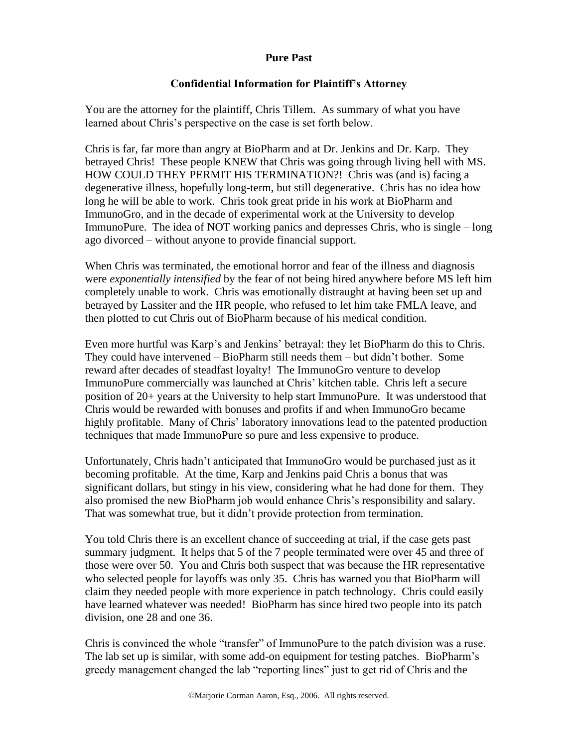# **Confidential Information for Plaintiff's Attorney**

You are the attorney for the plaintiff, Chris Tillem. As summary of what you have learned about Chris's perspective on the case is set forth below.

Chris is far, far more than angry at BioPharm and at Dr. Jenkins and Dr. Karp. They betrayed Chris! These people KNEW that Chris was going through living hell with MS. HOW COULD THEY PERMIT HIS TERMINATION?! Chris was (and is) facing a degenerative illness, hopefully long-term, but still degenerative. Chris has no idea how long he will be able to work. Chris took great pride in his work at BioPharm and ImmunoGro, and in the decade of experimental work at the University to develop ImmunoPure. The idea of NOT working panics and depresses Chris, who is single – long ago divorced – without anyone to provide financial support.

When Chris was terminated, the emotional horror and fear of the illness and diagnosis were *exponentially intensified* by the fear of not being hired anywhere before MS left him completely unable to work. Chris was emotionally distraught at having been set up and betrayed by Lassiter and the HR people, who refused to let him take FMLA leave, and then plotted to cut Chris out of BioPharm because of his medical condition.

Even more hurtful was Karp's and Jenkins' betrayal: they let BioPharm do this to Chris. They could have intervened – BioPharm still needs them – but didn't bother. Some reward after decades of steadfast loyalty! The ImmunoGro venture to develop ImmunoPure commercially was launched at Chris' kitchen table. Chris left a secure position of 20+ years at the University to help start ImmunoPure. It was understood that Chris would be rewarded with bonuses and profits if and when ImmunoGro became highly profitable. Many of Chris' laboratory innovations lead to the patented production techniques that made ImmunoPure so pure and less expensive to produce.

Unfortunately, Chris hadn't anticipated that ImmunoGro would be purchased just as it becoming profitable. At the time, Karp and Jenkins paid Chris a bonus that was significant dollars, but stingy in his view, considering what he had done for them. They also promised the new BioPharm job would enhance Chris's responsibility and salary. That was somewhat true, but it didn't provide protection from termination.

You told Chris there is an excellent chance of succeeding at trial, if the case gets past summary judgment. It helps that 5 of the 7 people terminated were over 45 and three of those were over 50. You and Chris both suspect that was because the HR representative who selected people for layoffs was only 35. Chris has warned you that BioPharm will claim they needed people with more experience in patch technology. Chris could easily have learned whatever was needed! BioPharm has since hired two people into its patch division, one 28 and one 36.

Chris is convinced the whole "transfer" of ImmunoPure to the patch division was a ruse. The lab set up is similar, with some add-on equipment for testing patches. BioPharm's greedy management changed the lab "reporting lines" just to get rid of Chris and the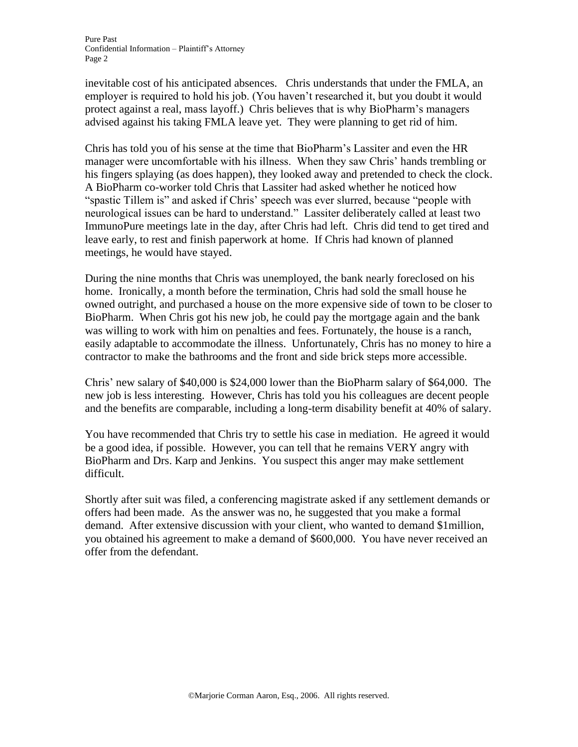inevitable cost of his anticipated absences. Chris understands that under the FMLA, an employer is required to hold his job. (You haven't researched it, but you doubt it would protect against a real, mass layoff.) Chris believes that is why BioPharm's managers advised against his taking FMLA leave yet. They were planning to get rid of him.

Chris has told you of his sense at the time that BioPharm's Lassiter and even the HR manager were uncomfortable with his illness. When they saw Chris' hands trembling or his fingers splaying (as does happen), they looked away and pretended to check the clock. A BioPharm co-worker told Chris that Lassiter had asked whether he noticed how "spastic Tillem is" and asked if Chris' speech was ever slurred, because "people with neurological issues can be hard to understand." Lassiter deliberately called at least two ImmunoPure meetings late in the day, after Chris had left. Chris did tend to get tired and leave early, to rest and finish paperwork at home. If Chris had known of planned meetings, he would have stayed.

During the nine months that Chris was unemployed, the bank nearly foreclosed on his home. Ironically, a month before the termination, Chris had sold the small house he owned outright, and purchased a house on the more expensive side of town to be closer to BioPharm. When Chris got his new job, he could pay the mortgage again and the bank was willing to work with him on penalties and fees. Fortunately, the house is a ranch, easily adaptable to accommodate the illness. Unfortunately, Chris has no money to hire a contractor to make the bathrooms and the front and side brick steps more accessible.

Chris' new salary of \$40,000 is \$24,000 lower than the BioPharm salary of \$64,000. The new job is less interesting. However, Chris has told you his colleagues are decent people and the benefits are comparable, including a long-term disability benefit at 40% of salary.

You have recommended that Chris try to settle his case in mediation. He agreed it would be a good idea, if possible. However, you can tell that he remains VERY angry with BioPharm and Drs. Karp and Jenkins. You suspect this anger may make settlement difficult.

Shortly after suit was filed, a conferencing magistrate asked if any settlement demands or offers had been made. As the answer was no, he suggested that you make a formal demand. After extensive discussion with your client, who wanted to demand \$1million, you obtained his agreement to make a demand of \$600,000. You have never received an offer from the defendant.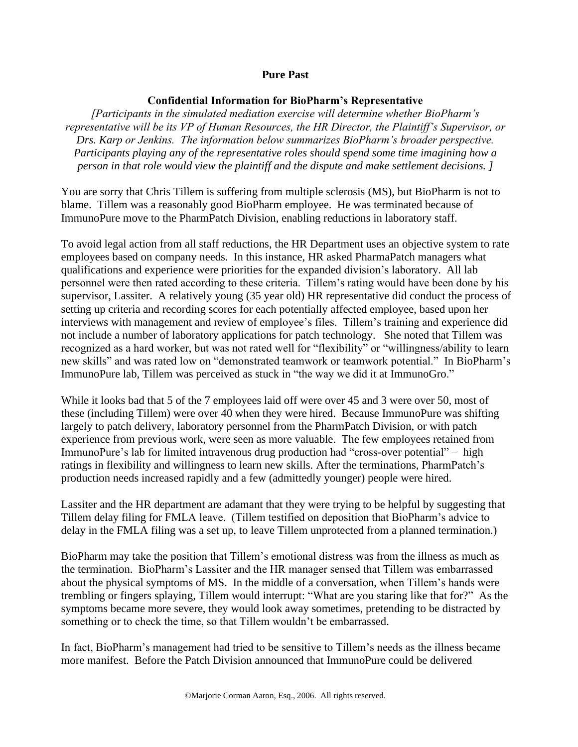#### **Confidential Information for BioPharm's Representative**

*[Participants in the simulated mediation exercise will determine whether BioPharm's representative will be its VP of Human Resources, the HR Director, the Plaintiff's Supervisor, or Drs. Karp or Jenkins. The information below summarizes BioPharm's broader perspective. Participants playing any of the representative roles should spend some time imagining how a person in that role would view the plaintiff and the dispute and make settlement decisions. ]*

You are sorry that Chris Tillem is suffering from multiple sclerosis (MS), but BioPharm is not to blame. Tillem was a reasonably good BioPharm employee. He was terminated because of ImmunoPure move to the PharmPatch Division, enabling reductions in laboratory staff.

To avoid legal action from all staff reductions, the HR Department uses an objective system to rate employees based on company needs. In this instance, HR asked PharmaPatch managers what qualifications and experience were priorities for the expanded division's laboratory. All lab personnel were then rated according to these criteria. Tillem's rating would have been done by his supervisor, Lassiter. A relatively young (35 year old) HR representative did conduct the process of setting up criteria and recording scores for each potentially affected employee, based upon her interviews with management and review of employee's files. Tillem's training and experience did not include a number of laboratory applications for patch technology. She noted that Tillem was recognized as a hard worker, but was not rated well for "flexibility" or "willingness/ability to learn new skills" and was rated low on "demonstrated teamwork or teamwork potential." In BioPharm's ImmunoPure lab, Tillem was perceived as stuck in "the way we did it at ImmunoGro."

While it looks bad that 5 of the 7 employees laid off were over 45 and 3 were over 50, most of these (including Tillem) were over 40 when they were hired. Because ImmunoPure was shifting largely to patch delivery, laboratory personnel from the PharmPatch Division, or with patch experience from previous work, were seen as more valuable. The few employees retained from ImmunoPure's lab for limited intravenous drug production had "cross-over potential" – high ratings in flexibility and willingness to learn new skills. After the terminations, PharmPatch's production needs increased rapidly and a few (admittedly younger) people were hired.

Lassiter and the HR department are adamant that they were trying to be helpful by suggesting that Tillem delay filing for FMLA leave. (Tillem testified on deposition that BioPharm's advice to delay in the FMLA filing was a set up, to leave Tillem unprotected from a planned termination.)

BioPharm may take the position that Tillem's emotional distress was from the illness as much as the termination. BioPharm's Lassiter and the HR manager sensed that Tillem was embarrassed about the physical symptoms of MS. In the middle of a conversation, when Tillem's hands were trembling or fingers splaying, Tillem would interrupt: "What are you staring like that for?" As the symptoms became more severe, they would look away sometimes, pretending to be distracted by something or to check the time, so that Tillem wouldn't be embarrassed.

In fact, BioPharm's management had tried to be sensitive to Tillem's needs as the illness became more manifest. Before the Patch Division announced that ImmunoPure could be delivered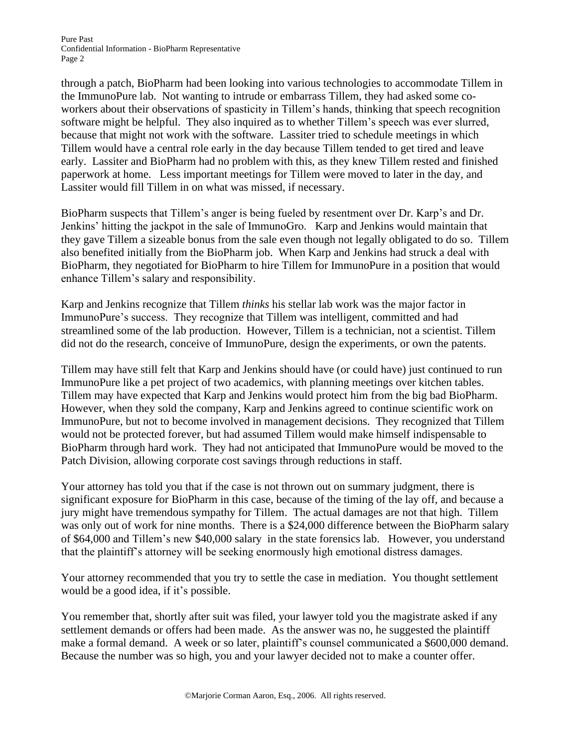Pure Past Confidential Information - BioPharm Representative Page 2

through a patch, BioPharm had been looking into various technologies to accommodate Tillem in the ImmunoPure lab. Not wanting to intrude or embarrass Tillem, they had asked some coworkers about their observations of spasticity in Tillem's hands, thinking that speech recognition software might be helpful. They also inquired as to whether Tillem's speech was ever slurred, because that might not work with the software. Lassiter tried to schedule meetings in which Tillem would have a central role early in the day because Tillem tended to get tired and leave early. Lassiter and BioPharm had no problem with this, as they knew Tillem rested and finished paperwork at home. Less important meetings for Tillem were moved to later in the day, and Lassiter would fill Tillem in on what was missed, if necessary.

BioPharm suspects that Tillem's anger is being fueled by resentment over Dr. Karp's and Dr. Jenkins' hitting the jackpot in the sale of ImmunoGro. Karp and Jenkins would maintain that they gave Tillem a sizeable bonus from the sale even though not legally obligated to do so. Tillem also benefited initially from the BioPharm job. When Karp and Jenkins had struck a deal with BioPharm, they negotiated for BioPharm to hire Tillem for ImmunoPure in a position that would enhance Tillem's salary and responsibility.

Karp and Jenkins recognize that Tillem *thinks* his stellar lab work was the major factor in ImmunoPure's success. They recognize that Tillem was intelligent, committed and had streamlined some of the lab production. However, Tillem is a technician, not a scientist. Tillem did not do the research, conceive of ImmunoPure, design the experiments, or own the patents.

Tillem may have still felt that Karp and Jenkins should have (or could have) just continued to run ImmunoPure like a pet project of two academics, with planning meetings over kitchen tables. Tillem may have expected that Karp and Jenkins would protect him from the big bad BioPharm. However, when they sold the company, Karp and Jenkins agreed to continue scientific work on ImmunoPure, but not to become involved in management decisions. They recognized that Tillem would not be protected forever, but had assumed Tillem would make himself indispensable to BioPharm through hard work. They had not anticipated that ImmunoPure would be moved to the Patch Division, allowing corporate cost savings through reductions in staff.

Your attorney has told you that if the case is not thrown out on summary judgment, there is significant exposure for BioPharm in this case, because of the timing of the lay off, and because a jury might have tremendous sympathy for Tillem. The actual damages are not that high. Tillem was only out of work for nine months. There is a \$24,000 difference between the BioPharm salary of \$64,000 and Tillem's new \$40,000 salary in the state forensics lab. However, you understand that the plaintiff's attorney will be seeking enormously high emotional distress damages.

Your attorney recommended that you try to settle the case in mediation. You thought settlement would be a good idea, if it's possible.

You remember that, shortly after suit was filed, your lawyer told you the magistrate asked if any settlement demands or offers had been made. As the answer was no, he suggested the plaintiff make a formal demand. A week or so later, plaintiff's counsel communicated a \$600,000 demand. Because the number was so high, you and your lawyer decided not to make a counter offer.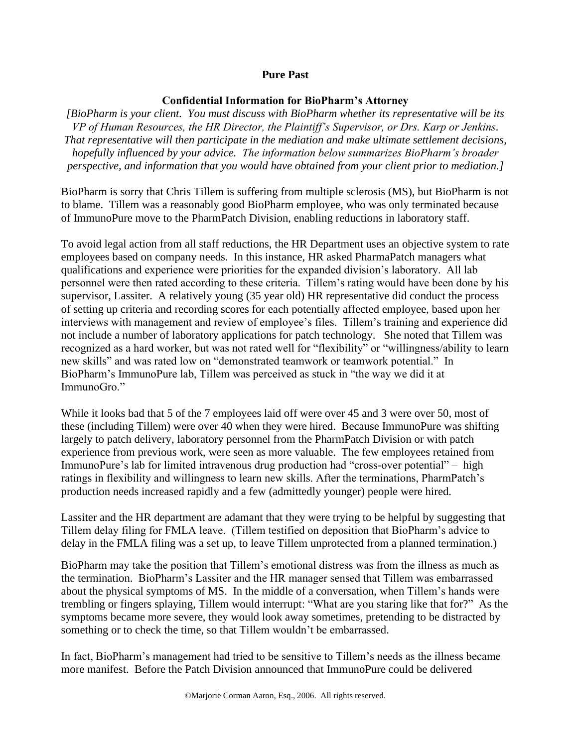#### **Confidential Information for BioPharm's Attorney**

*[BioPharm is your client. You must discuss with BioPharm whether its representative will be its VP of Human Resources, the HR Director, the Plaintiff's Supervisor, or Drs. Karp or Jenkins. That representative will then participate in the mediation and make ultimate settlement decisions, hopefully influenced by your advice. The information below summarizes BioPharm's broader perspective, and information that you would have obtained from your client prior to mediation.]*

BioPharm is sorry that Chris Tillem is suffering from multiple sclerosis (MS), but BioPharm is not to blame. Tillem was a reasonably good BioPharm employee, who was only terminated because of ImmunoPure move to the PharmPatch Division, enabling reductions in laboratory staff.

To avoid legal action from all staff reductions, the HR Department uses an objective system to rate employees based on company needs. In this instance, HR asked PharmaPatch managers what qualifications and experience were priorities for the expanded division's laboratory. All lab personnel were then rated according to these criteria. Tillem's rating would have been done by his supervisor, Lassiter. A relatively young (35 year old) HR representative did conduct the process of setting up criteria and recording scores for each potentially affected employee, based upon her interviews with management and review of employee's files. Tillem's training and experience did not include a number of laboratory applications for patch technology. She noted that Tillem was recognized as a hard worker, but was not rated well for "flexibility" or "willingness/ability to learn new skills" and was rated low on "demonstrated teamwork or teamwork potential." In BioPharm's ImmunoPure lab, Tillem was perceived as stuck in "the way we did it at ImmunoGro."

While it looks bad that 5 of the 7 employees laid off were over 45 and 3 were over 50, most of these (including Tillem) were over 40 when they were hired. Because ImmunoPure was shifting largely to patch delivery, laboratory personnel from the PharmPatch Division or with patch experience from previous work, were seen as more valuable. The few employees retained from ImmunoPure's lab for limited intravenous drug production had "cross-over potential" – high ratings in flexibility and willingness to learn new skills. After the terminations, PharmPatch's production needs increased rapidly and a few (admittedly younger) people were hired.

Lassiter and the HR department are adamant that they were trying to be helpful by suggesting that Tillem delay filing for FMLA leave. (Tillem testified on deposition that BioPharm's advice to delay in the FMLA filing was a set up, to leave Tillem unprotected from a planned termination.)

BioPharm may take the position that Tillem's emotional distress was from the illness as much as the termination. BioPharm's Lassiter and the HR manager sensed that Tillem was embarrassed about the physical symptoms of MS. In the middle of a conversation, when Tillem's hands were trembling or fingers splaying, Tillem would interrupt: "What are you staring like that for?" As the symptoms became more severe, they would look away sometimes, pretending to be distracted by something or to check the time, so that Tillem wouldn't be embarrassed.

In fact, BioPharm's management had tried to be sensitive to Tillem's needs as the illness became more manifest. Before the Patch Division announced that ImmunoPure could be delivered